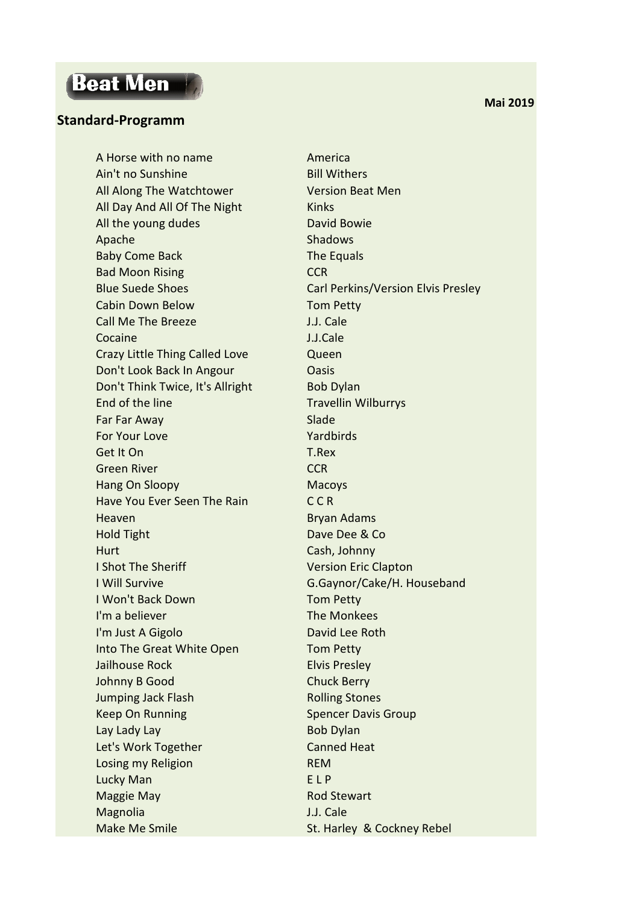## **Beat Men**

## **Standard-Programm**

A Horse with no name America Ain't no Sunshine Bill Withers All Along The Watchtower Version Beat Men All Day And All Of The Night Kinks All the young dudes David Bowie Apache Shadows Shadows Baby Come Back The Equals Bad Moon Rising **CCR** Cabin Down Below Tom Petty Call Me The Breeze **J.J. Cale** Cocaine J.J.Cale Crazy Little Thing Called Love **Queen** Don't Look Back In Angour **Cassage Contact Contact Contact Contact Contact Contact Contact Contact Contact Contact Contact Contact Contact Contact Contact Contact Contact Contact Contact Contact Contact Contact Contact Con** Don't Think Twice, It's Allright Bob Dylan End of the line Travellin Wilburrys **Far Far Away** Slade For Your Love Yardbirds Get It On T.Rex Green River **CCR** Hang On Sloopy Macoys Have You Ever Seen The Rain C C R Heaven Bryan Adams Hold Tight Dave Dee & Co Hurt Cash, Johnny **I Shot The Sheriff Version Eric Clapton** I Will Survive G.Gaynor/Cake/H. Houseband I Won't Back Down Tom Petty I'm a believer The Monkees I'm Just A Gigolo **David Lee Roth** Into The Great White Open Tom Petty **Jailhouse Rock Elvis Presley** Johnny B Good Chuck Berry **Jumping Jack Flash Rolling Stones** Keep On Running Spencer Davis Group Lay Lady Lay Bob Dylan Let's Work Together Canned Heat Losing my Religion **REM** Lucky Man **ELP** Maggie May **Rod Stewart** Magnolia J.J. Cale Make Me Smile St. Harley & Cockney Rebel

Blue Suede Shoes Carl Perkins/Version Elvis Presley